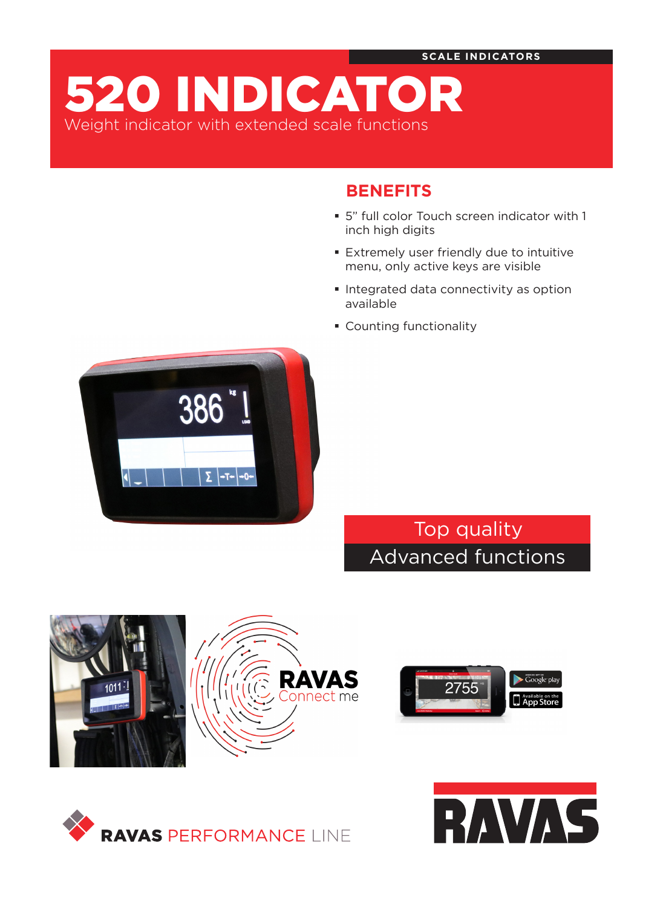520 INDICATOR Weight indicator with extended scale functions

# **BENEFITS**

- 5" full color Touch screen indicator with 1 inch high digits
- Extremely user friendly due to intuitive menu, only active keys are visible
- **Integrated data connectivity as option** available
- **Counting functionality**



Top quality Advanced functions